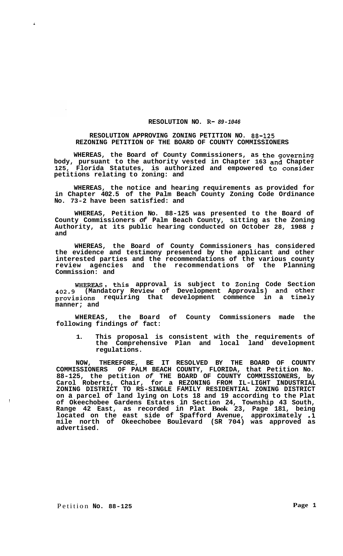## **RESOLUTION NO. R-** *89-1046*

## **RESOLUTION APPROVING ZONING PETITION NO. 88-125 REZONING PETITION OF THE BOARD OF COUNTY COMMISSIONERS**

**WHEREAS, the Board of County Commissioners, as the governing body, pursuant to the authority vested in Chapter 163 and Chapter 125, Florida Statutes, is authorized and empowered to consider petitions relating to zoning: and** 

**WHEREAS, the notice and hearing requirements as provided for in Chapter 402.5 of the Palm Beach County Zoning Code Ordinance No. 73-2 have been satisfied: and** 

**WHEREAS, Petition No. 88-125 was presented to the Board of County Commissioners** *of* **Palm Beach County, sitting as the Zoning Authority, at its public hearing conducted on October 28, 1988** : **and** 

**WHEREAS, the Board of County Commissioners has considered the evidence and testimony presented by the applicant and other interested parties and the recommendations of the various county review agencies and the recommendations of the Planning Commission: and** 

**WHEREAS** , **this approval is subject to Zoning Code Section 402.9 (Mandatory Review of Development Approvals) and other provisions requiring that development commence in a timely manner; and** 

**WHEREAS, the Board of County Commissioners made the following findings** *of* **fact:** 

**1. This proposal is consistent with the requirements of the Comprehensive Plan and local land development regulations.** 

**NOW, THEREFORE, BE IT RESOLVED BY THE BOARD OF COUNTY COMMISSIONERS OF PALM BEACH COUNTY, FLORIDA, that Petition No. 88-125, the petition** *of* **THE BOARD OF COUNTY COMMISSIONERS, by Carol Roberts, Chair, for a REZONING FROM IL-LIGHT INDUSTRIAL ZONING DISTRICT TO RS-SINGLE FAMILY RESIDENTIAL ZONING DISTRICT on a parcel of land lying on Lots 18 and 19 according to the Plat of Okeechobee Gardens Estates in Section 24, Township 43 South, Range 42 East, as recorded in Plat Book 23, Page 181, being located on the east side of Spafford Avenue, approximately .1 mile north of Okeechobee Boulevard (SR 704) was approved as advertised.** 

!

 $\hat{\mathcal{L}}$